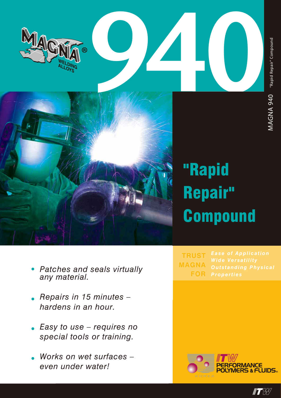



# "Rapid Repair" **Compound**

- *• Patches and seals virtually any material.*
- *• Repairs in 15 minutes – hardens in an hour.*
- *• Easy to use requires no special tools or training.*
- *• Works on wet surfaces – even under water!*

*Properties* **TRUST MAGNA FOR**